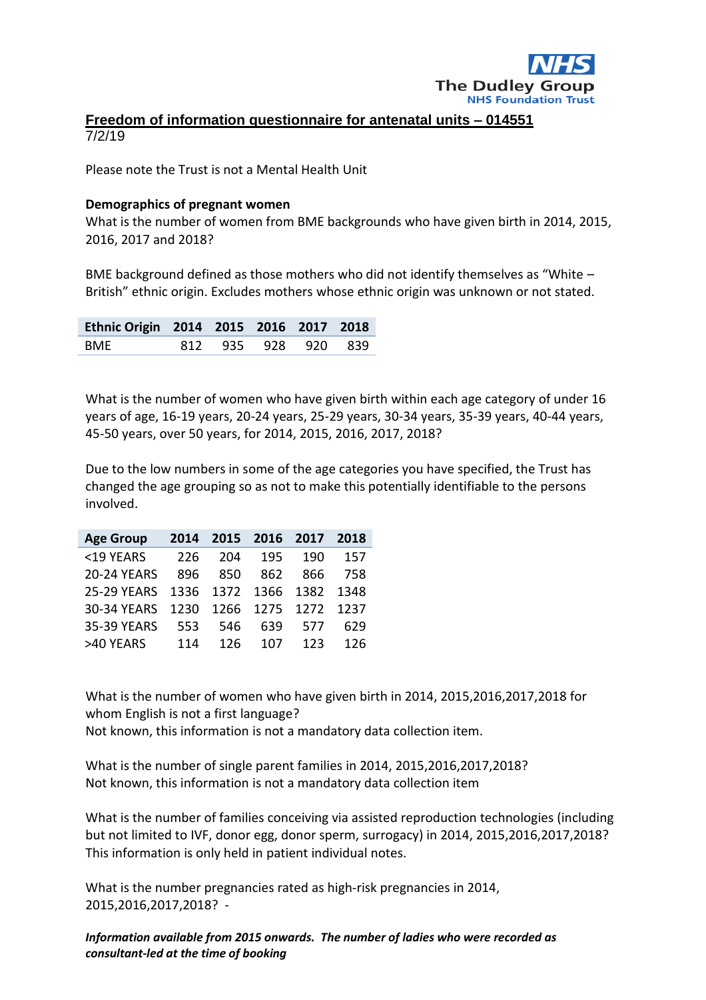

### **Freedom of information questionnaire for antenatal units – 014551** 7/2/19

Please note the Trust is not a Mental Health Unit

#### **Demographics of pregnant women**

What is the number of women from BME backgrounds who have given birth in 2014, 2015, 2016, 2017 and 2018?

BME background defined as those mothers who did not identify themselves as "White – British" ethnic origin. Excludes mothers whose ethnic origin was unknown or not stated.

| Ethnic Origin 2014 2015 2016 2017 2018 |  |                     |  |
|----------------------------------------|--|---------------------|--|
| <b>BMF</b>                             |  | 812 935 928 920 839 |  |

What is the number of women who have given birth within each age category of under 16 years of age, 16-19 years, 20-24 years, 25-29 years, 30-34 years, 35-39 years, 40-44 years, 45-50 years, over 50 years, for 2014, 2015, 2016, 2017, 2018?

Due to the low numbers in some of the age categories you have specified, the Trust has changed the age grouping so as not to make this potentially identifiable to the persons involved.

| <b>Age Group</b>   | 2014 |      | 2015 2016 2017 |                          | 2018 |
|--------------------|------|------|----------------|--------------------------|------|
| <19 YEARS          | 226  | 204  | 195            | 190                      | 157  |
| <b>20-24 YEARS</b> | 896  | 850  | 862            | 866                      | 758  |
| <b>25-29 YEARS</b> |      |      |                | 1336 1372 1366 1382 1348 |      |
| 30-34 YEARS        | 1230 |      |                | 1266 1275 1272 1237      |      |
| 35-39 YEARS        | 553  | 546  | 639            | 577                      | 629  |
| >40 YEARS          | 114  | 126. | 107            | 123                      | 126  |

What is the number of women who have given birth in 2014, 2015,2016,2017,2018 for whom English is not a first language? Not known, this information is not a mandatory data collection item.

What is the number of single parent families in 2014, 2015,2016,2017,2018? Not known, this information is not a mandatory data collection item

What is the number of families conceiving via assisted reproduction technologies (including but not limited to IVF, donor egg, donor sperm, surrogacy) in 2014, 2015,2016,2017,2018? This information is only held in patient individual notes.

What is the number pregnancies rated as high-risk pregnancies in 2014, 2015,2016,2017,2018? -

*Information available from 2015 onwards. The number of ladies who were recorded as consultant-led at the time of booking*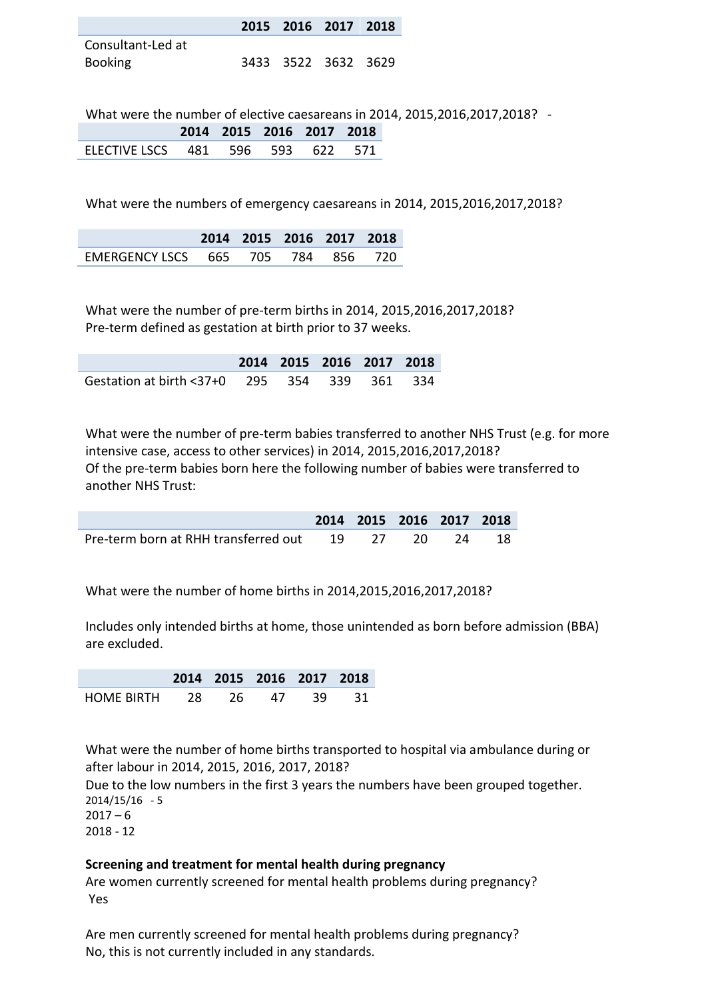|                   | 2015 2016 2017 2018 |  |
|-------------------|---------------------|--|
| Consultant-Led at |                     |  |
| Booking           | 3433 3522 3632 3629 |  |

What were the number of elective caesareans in 2014, 2015,2016,2017,2018? -

|                                   |  | 2014 2015 2016 2017 2018 |  |
|-----------------------------------|--|--------------------------|--|
| FLECTIVE LSCS 481 596 593 622 571 |  |                          |  |

What were the numbers of emergency caesareans in 2014, 2015,2016,2017,2018?

|                                    |  | 2014 2015 2016 2017 2018 |  |
|------------------------------------|--|--------------------------|--|
| EMERGENCY LSCS 665 705 784 856 720 |  |                          |  |

What were the number of pre-term births in 2014, 2015,2016,2017,2018? Pre-term defined as gestation at birth prior to 37 weeks.

|                                              | 2014 2015 2016 2017 2018 |  |  |
|----------------------------------------------|--------------------------|--|--|
| Gestation at birth <37+0 295 354 339 361 334 |                          |  |  |

What were the number of pre-term babies transferred to another NHS Trust (e.g. for more intensive case, access to other services) in 2014, 2015,2016,2017,2018? Of the pre-term babies born here the following number of babies were transferred to another NHS Trust:

|                                                      |  | 2014 2015 2016 2017 2018 |  |
|------------------------------------------------------|--|--------------------------|--|
| Pre-term born at RHH transferred out  19 27 20 24 18 |  |                          |  |

What were the number of home births in 2014,2015,2016,2017,2018?

Includes only intended births at home, those unintended as born before admission (BBA) are excluded.

**2014 2015 2016 2017 2018** HOME BIRTH 28 26 47 39 31

What were the number of home births transported to hospital via ambulance during or after labour in 2014, 2015, 2016, 2017, 2018?

Due to the low numbers in the first 3 years the numbers have been grouped together. 2014/15/16 - 5

 $2017 - 6$ 2018 - 12

# **Screening and treatment for mental health during pregnancy**

Are women currently screened for mental health problems during pregnancy? Yes

Are men currently screened for mental health problems during pregnancy? No, this is not currently included in any standards.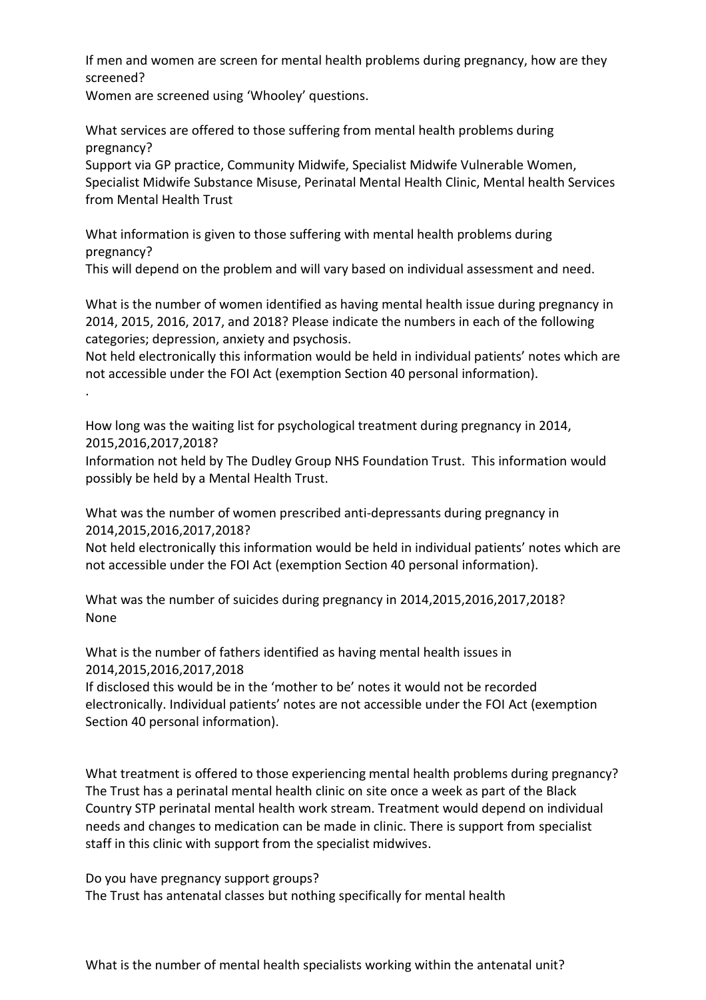If men and women are screen for mental health problems during pregnancy, how are they screened?

Women are screened using 'Whooley' questions.

.

What services are offered to those suffering from mental health problems during pregnancy?

Support via GP practice, Community Midwife, Specialist Midwife Vulnerable Women, Specialist Midwife Substance Misuse, Perinatal Mental Health Clinic, Mental health Services from Mental Health Trust

What information is given to those suffering with mental health problems during pregnancy?

This will depend on the problem and will vary based on individual assessment and need.

What is the number of women identified as having mental health issue during pregnancy in 2014, 2015, 2016, 2017, and 2018? Please indicate the numbers in each of the following categories; depression, anxiety and psychosis.

Not held electronically this information would be held in individual patients' notes which are not accessible under the FOI Act (exemption Section 40 personal information).

How long was the waiting list for psychological treatment during pregnancy in 2014, 2015,2016,2017,2018?

Information not held by The Dudley Group NHS Foundation Trust. This information would possibly be held by a Mental Health Trust.

What was the number of women prescribed anti-depressants during pregnancy in 2014,2015,2016,2017,2018?

Not held electronically this information would be held in individual patients' notes which are not accessible under the FOI Act (exemption Section 40 personal information).

What was the number of suicides during pregnancy in 2014,2015,2016,2017,2018? None

What is the number of fathers identified as having mental health issues in 2014,2015,2016,2017,2018

If disclosed this would be in the 'mother to be' notes it would not be recorded electronically. Individual patients' notes are not accessible under the FOI Act (exemption Section 40 personal information).

What treatment is offered to those experiencing mental health problems during pregnancy? The Trust has a perinatal mental health clinic on site once a week as part of the Black Country STP perinatal mental health work stream. Treatment would depend on individual needs and changes to medication can be made in clinic. There is support from specialist staff in this clinic with support from the specialist midwives.

Do you have pregnancy support groups? The Trust has antenatal classes but nothing specifically for mental health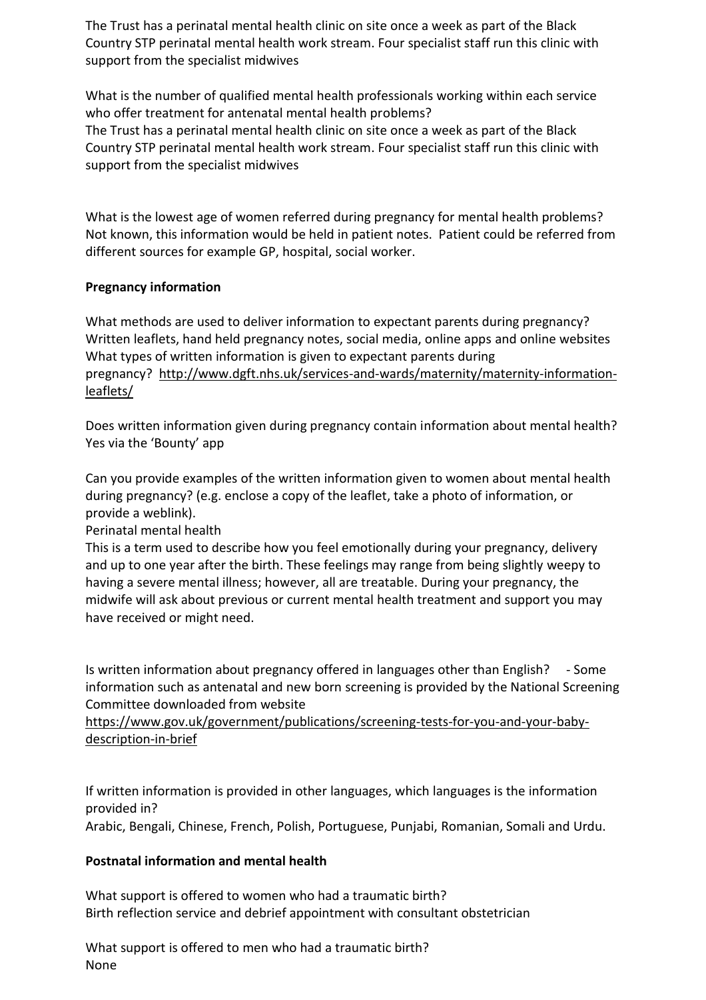The Trust has a perinatal mental health clinic on site once a week as part of the Black Country STP perinatal mental health work stream. Four specialist staff run this clinic with support from the specialist midwives

What is the number of qualified mental health professionals working within each service who offer treatment for antenatal mental health problems? The Trust has a perinatal mental health clinic on site once a week as part of the Black Country STP perinatal mental health work stream. Four specialist staff run this clinic with support from the specialist midwives

What is the lowest age of women referred during pregnancy for mental health problems? Not known, this information would be held in patient notes. Patient could be referred from different sources for example GP, hospital, social worker.

# **Pregnancy information**

What methods are used to deliver information to expectant parents during pregnancy? Written leaflets, hand held pregnancy notes, social media, online apps and online websites What types of written information is given to expectant parents during pregnancy? [http://www.dgft.nhs.uk/services-and-wards/maternity/maternity-information](http://www.dgft.nhs.uk/services-and-wards/maternity/maternity-information-leaflets/)[leaflets/](http://www.dgft.nhs.uk/services-and-wards/maternity/maternity-information-leaflets/)

Does written information given during pregnancy contain information about mental health? Yes via the 'Bounty' app

Can you provide examples of the written information given to women about mental health during pregnancy? (e.g. enclose a copy of the leaflet, take a photo of information, or provide a weblink).

Perinatal mental health

This is a term used to describe how you feel emotionally during your pregnancy, delivery and up to one year after the birth. These feelings may range from being slightly weepy to having a severe mental illness; however, all are treatable. During your pregnancy, the midwife will ask about previous or current mental health treatment and support you may have received or might need.

Is written information about pregnancy offered in languages other than English? - Some information such as antenatal and new born screening is provided by the National Screening Committee downloaded from website

[https://www.gov.uk/government/publications/screening-tests-for-you-and-your-baby](https://www.gov.uk/government/publications/screening-tests-for-you-and-your-baby-description-in-brief)[description-in-brief](https://www.gov.uk/government/publications/screening-tests-for-you-and-your-baby-description-in-brief)

If written information is provided in other languages, which languages is the information provided in?

Arabic, Bengali, Chinese, French, Polish, Portuguese, Punjabi, Romanian, Somali and Urdu.

#### **Postnatal information and mental health**

What support is offered to women who had a traumatic birth? Birth reflection service and debrief appointment with consultant obstetrician

What support is offered to men who had a traumatic birth? None